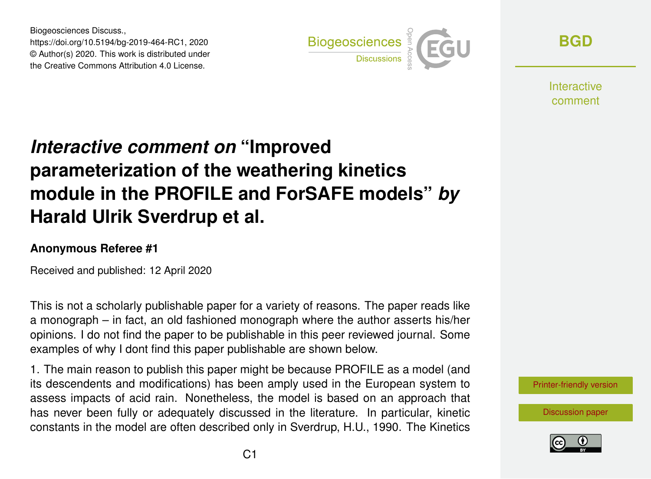Biogeosciences Discuss., https://doi.org/10.5194/bg-2019-464-RC1, 2020 © Author(s) 2020. This work is distributed under the Creative Commons Attribution 4.0 License.



**[BGD](https://www.biogeosciences-discuss.net/)**

**Interactive** comment

# *Interactive comment on* **"Improved parameterization of the weathering kinetics module in the PROFILE and ForSAFE models"** *by* **Harald Ulrik Sverdrup et al.**

### **Anonymous Referee #1**

Received and published: 12 April 2020

This is not a scholarly publishable paper for a variety of reasons. The paper reads like a monograph – in fact, an old fashioned monograph where the author asserts his/her opinions. I do not find the paper to be publishable in this peer reviewed journal. Some examples of why I dont find this paper publishable are shown below.

1. The main reason to publish this paper might be because PROFILE as a model (and its descendents and modifications) has been amply used in the European system to assess impacts of acid rain. Nonetheless, the model is based on an approach that has never been fully or adequately discussed in the literature. In particular, kinetic constants in the model are often described only in Sverdrup, H.U., 1990. The Kinetics

[Printer-friendly version](https://www.biogeosciences-discuss.net/bg-2019-464/bg-2019-464-RC1-print.pdf)

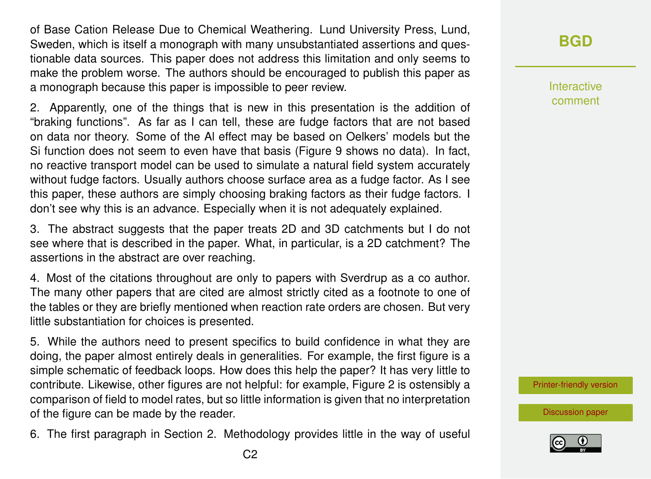of Base Cation Release Due to Chemical Weathering. Lund University Press, Lund, Sweden, which is itself a monograph with many unsubstantiated assertions and questionable data sources. This paper does not address this limitation and only seems to make the problem worse. The authors should be encouraged to publish this paper as a monograph because this paper is impossible to peer review.

2. Apparently, one of the things that is new in this presentation is the addition of "braking functions". As far as I can tell, these are fudge factors that are not based on data nor theory. Some of the Al effect may be based on Oelkers' models but the Si function does not seem to even have that basis (Figure 9 shows no data). In fact, no reactive transport model can be used to simulate a natural field system accurately without fudge factors. Usually authors choose surface area as a fudge factor. As I see this paper, these authors are simply choosing braking factors as their fudge factors. I don't see why this is an advance. Especially when it is not adequately explained.

3. The abstract suggests that the paper treats 2D and 3D catchments but I do not see where that is described in the paper. What, in particular, is a 2D catchment? The assertions in the abstract are over reaching.

4. Most of the citations throughout are only to papers with Sverdrup as a co author. The many other papers that are cited are almost strictly cited as a footnote to one of the tables or they are briefly mentioned when reaction rate orders are chosen. But very little substantiation for choices is presented.

5. While the authors need to present specifics to build confidence in what they are doing, the paper almost entirely deals in generalities. For example, the first figure is a simple schematic of feedback loops. How does this help the paper? It has very little to contribute. Likewise, other figures are not helpful: for example, Figure 2 is ostensibly a comparison of field to model rates, but so little information is given that no interpretation of the figure can be made by the reader.

6. The first paragraph in Section 2. Methodology provides little in the way of useful

Interactive comment

[Printer-friendly version](https://www.biogeosciences-discuss.net/bg-2019-464/bg-2019-464-RC1-print.pdf)

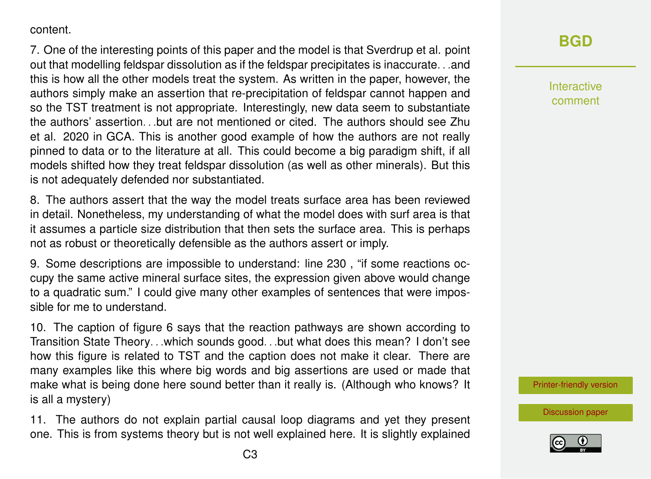#### content.

7. One of the interesting points of this paper and the model is that Sverdrup et al. point out that modelling feldspar dissolution as if the feldspar precipitates is inaccurate. . .and this is how all the other models treat the system. As written in the paper, however, the authors simply make an assertion that re-precipitation of feldspar cannot happen and so the TST treatment is not appropriate. Interestingly, new data seem to substantiate the authors' assertion. . .but are not mentioned or cited. The authors should see Zhu et al. 2020 in GCA. This is another good example of how the authors are not really pinned to data or to the literature at all. This could become a big paradigm shift, if all models shifted how they treat feldspar dissolution (as well as other minerals). But this is not adequately defended nor substantiated.

8. The authors assert that the way the model treats surface area has been reviewed in detail. Nonetheless, my understanding of what the model does with surf area is that it assumes a particle size distribution that then sets the surface area. This is perhaps not as robust or theoretically defensible as the authors assert or imply.

9. Some descriptions are impossible to understand: line 230 , "if some reactions occupy the same active mineral surface sites, the expression given above would change to a quadratic sum." I could give many other examples of sentences that were impossible for me to understand.

10. The caption of figure 6 says that the reaction pathways are shown according to Transition State Theory. . .which sounds good. . .but what does this mean? I don't see how this figure is related to TST and the caption does not make it clear. There are many examples like this where big words and big assertions are used or made that make what is being done here sound better than it really is. (Although who knows? It is all a mystery)

11. The authors do not explain partial causal loop diagrams and yet they present one. This is from systems theory but is not well explained here. It is slightly explained

Interactive comment

[Printer-friendly version](https://www.biogeosciences-discuss.net/bg-2019-464/bg-2019-464-RC1-print.pdf)

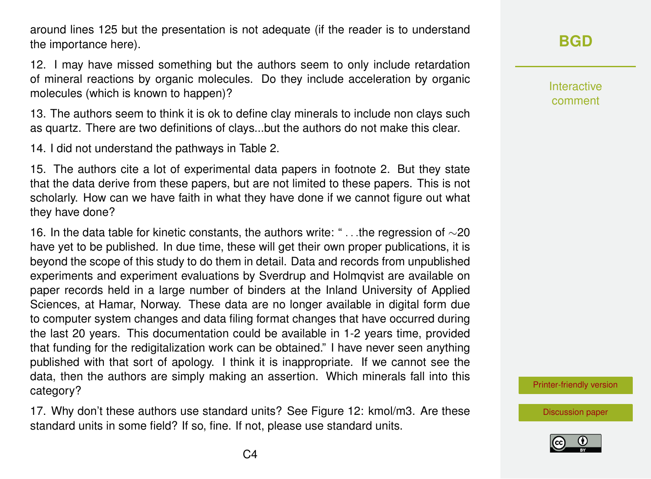around lines 125 but the presentation is not adequate (if the reader is to understand the importance here).

12. I may have missed something but the authors seem to only include retardation of mineral reactions by organic molecules. Do they include acceleration by organic molecules (which is known to happen)?

13. The authors seem to think it is ok to define clay minerals to include non clays such as quartz. There are two definitions of clays...but the authors do not make this clear.

14. I did not understand the pathways in Table 2.

15. The authors cite a lot of experimental data papers in footnote 2. But they state that the data derive from these papers, but are not limited to these papers. This is not scholarly. How can we have faith in what they have done if we cannot figure out what they have done?

16. In the data table for kinetic constants, the authors write: " . . .the regression of ∼20 have yet to be published. In due time, these will get their own proper publications, it is beyond the scope of this study to do them in detail. Data and records from unpublished experiments and experiment evaluations by Sverdrup and Holmqvist are available on paper records held in a large number of binders at the Inland University of Applied Sciences, at Hamar, Norway. These data are no longer available in digital form due to computer system changes and data filing format changes that have occurred during the last 20 years. This documentation could be available in 1-2 years time, provided that funding for the redigitalization work can be obtained." I have never seen anything published with that sort of apology. I think it is inappropriate. If we cannot see the data, then the authors are simply making an assertion. Which minerals fall into this category?

17. Why don't these authors use standard units? See Figure 12: kmol/m3. Are these standard units in some field? If so, fine. If not, please use standard units.

## **[BGD](https://www.biogeosciences-discuss.net/)**

Interactive comment

[Printer-friendly version](https://www.biogeosciences-discuss.net/bg-2019-464/bg-2019-464-RC1-print.pdf)